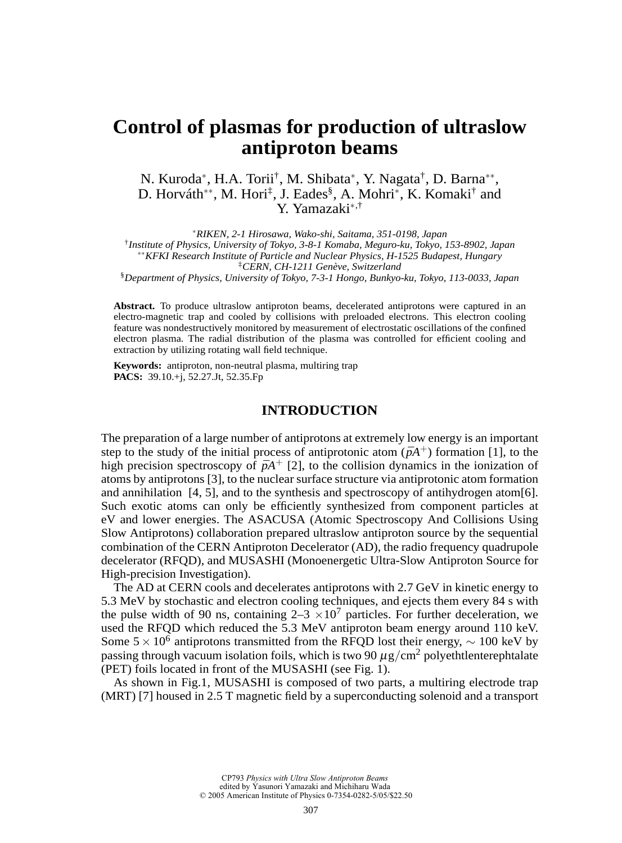# **Control of plasmas for production of ultraslow antiproton beams**

N. Kuroda\*, H.A. Torii<sup>†</sup>, M. Shibata\*, Y. Nagata<sup>†</sup>, D. Barna<sup>\*\*</sup>, D. Horváth<sup>∗∗</sup>, M. Hori<sup>‡</sup>, J. Eades<sup>§</sup>, A. Mohri<sup>∗</sup>, K. Komaki<sup>†</sup> and Y. Yamazaki∗,†

<sup>∗</sup>*RIKEN, 2-1 Hirosawa, Wako-shi, Saitama, 351-0198, Japan* †*Institute of Physics, University of Tokyo, 3-8-1 Komaba, Meguro-ku, Tokyo, 153-8902, Japan* ∗∗*KFKI Research Institute of Particle and Nuclear Physics, H-1525 Budapest, Hungary* ‡*CERN, CH-1211 Genève, Switzerland*

§*Department of Physics, University of Tokyo, 7-3-1 Hongo, Bunkyo-ku, Tokyo, 113-0033, Japan*

**Abstract.** To produce ultraslow antiproton beams, decelerated antiprotons were captured in an electro-magnetic trap and cooled by collisions with preloaded electrons. This electron cooling feature was nondestructively monitored by measurement of electrostatic oscillations of the confined electron plasma. The radial distribution of the plasma was controlled for efficient cooling and extraction by utilizing rotating wall field technique.

**Keywords:** antiproton, non-neutral plasma, multiring trap **PACS:** 39.10.+j, 52.27.Jt, 52.35.Fp

## **INTRODUCTION**

The preparation of a large number of antiprotons at extremely low energy is an important step to the study of the initial process of antiprotonic atom  $(\bar{p}A^+)$  formation [1], to the high precision spectroscopy of  $\bar{p}A^+$  [2], to the collision dynamics in the ionization of atoms by antiprotons [3], to the nuclear surface structure via antiprotonic atom formation and annihilation  $[4, 5]$ , and to the synthesis and spectroscopy of antihydrogen atom  $[6]$ . Such exotic atoms can only be efficiently synthesized from component particles at eV and lower energies. The ASACUSA (Atomic Spectroscopy And Collisions Using Slow Antiprotons) collaboration prepared ultraslow antiproton source by the sequential combination of the CERN Antiproton Decelerator (AD), the radio frequency quadrupole decelerator (RFQD), and MUSASHI (Monoenergetic Ultra-Slow Antiproton Source for High-precision Investigation).

The AD at CERN cools and decelerates antiprotons with 2.7 GeV in kinetic energy to 5.3 MeV by stochastic and electron cooling techniques, and ejects them every 84 s with the pulse width of 90 ns, containing  $2-3 \times 10^7$  particles. For further deceleration, we used the RFQD which reduced the 5.3 MeV antiproton beam energy around 110 keV. Some  $5 \times 10^6$  antiprotons transmitted from the RFQD lost their energy,  $\sim 100$  keV by passing through vacuum isolation foils, which is two 90  $\mu$ g/cm<sup>2</sup> polyethtlenterephtalate (PET) foils located in front of the MUSASHI (see Fig. 1).

As shown in Fig.1, MUSASHI is composed of two parts, a multiring electrode trap (MRT) [7] housed in 2.5 T magnetic field by a superconducting solenoid and a transport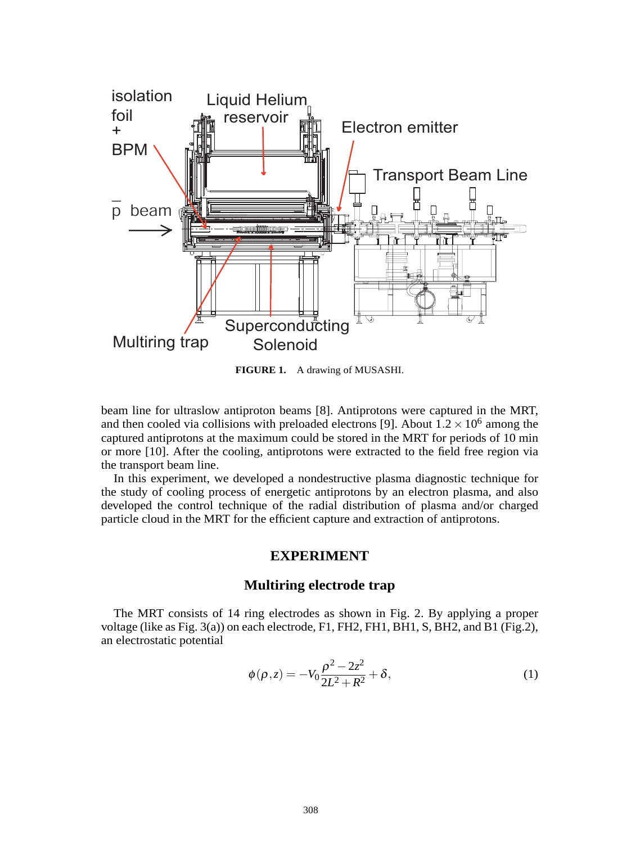

**FIGURE 1.** A drawing of MUSASHI.

beam line for ultraslow antiproton beams [8]. Antiprotons were captured in the MRT, and then cooled via collisions with preloaded electrons [9]. About  $1.2 \times 10^6$  among the captured antiprotons at the maximum could be stored in the MRT for periods of 10 min or more [10]. After the cooling, antiprotons were extracted to the field free region via the transport beam line.

In this experiment, we developed a nondestructive plasma diagnostic technique for the study of cooling process of energetic antiprotons by an electron plasma, and also developed the control technique of the radial distribution of plasma and/or charged particle cloud in the MRT for the efficient capture and extraction of antiprotons.

#### **EXPERIMENT**

## **Multiring electrode trap**

The MRT consists of 14 ring electrodes as shown in Fig. 2. By applying a proper voltage (like as Fig. 3(a)) on each electrode, F1, FH2, FH1, BH1, S, BH2, and B1 (Fig.2), an electrostatic potential

$$
\phi(\rho, z) = -V_0 \frac{\rho^2 - 2z^2}{2L^2 + R^2} + \delta,
$$
\n(1)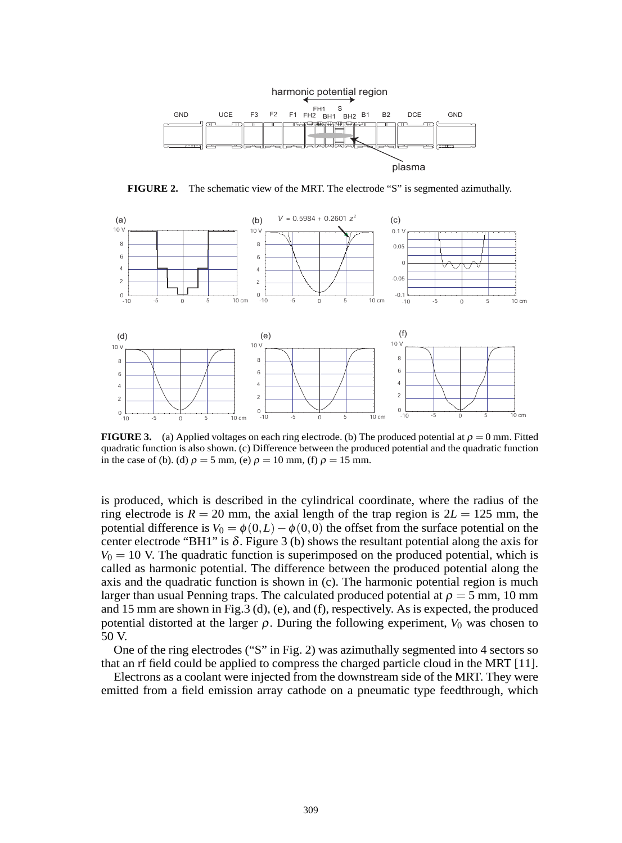

**FIGURE 2.** The schematic view of the MRT. The electrode "S" is segmented azimuthally.



**FIGURE 3.** (a) Applied voltages on each ring electrode. (b) The produced potential at  $\rho = 0$  mm. Fitted quadratic function is also shown. (c) Difference between the produced potential and the quadratic function in the case of (b). (d)  $\rho = 5$  mm, (e)  $\rho = 10$  mm, (f)  $\rho = 15$  mm.

is produced, which is described in the cylindrical coordinate, where the radius of the ring electrode is  $R = 20$  mm, the axial length of the trap region is  $2L = 125$  mm, the potential difference is  $V_0 = \phi(0, L) - \phi(0, 0)$  the offset from the surface potential on the center electrode "BH1" is  $\delta$ . Figure 3 (b) shows the resultant potential along the axis for  $V_0 = 10$  V. The quadratic function is superimposed on the produced potential, which is called as harmonic potential. The difference between the produced potential along the axis and the quadratic function is shown in (c). The harmonic potential region is much larger than usual Penning traps. The calculated produced potential at  $\rho = 5$  mm, 10 mm and 15 mm are shown in Fig.3 (d), (e), and (f), respectively. As is expected, the produced potential distorted at the larger  $\rho$ . During the following experiment,  $V_0$  was chosen to 50 V.

One of the ring electrodes ("S" in Fig. 2) was azimuthally segmented into 4 sectors so that an rf field could be applied to compress the charged particle cloud in the MRT [11].

Electrons as a coolant were injected from the downstream side of the MRT. They were emitted from a field emission array cathode on a pneumatic type feedthrough, which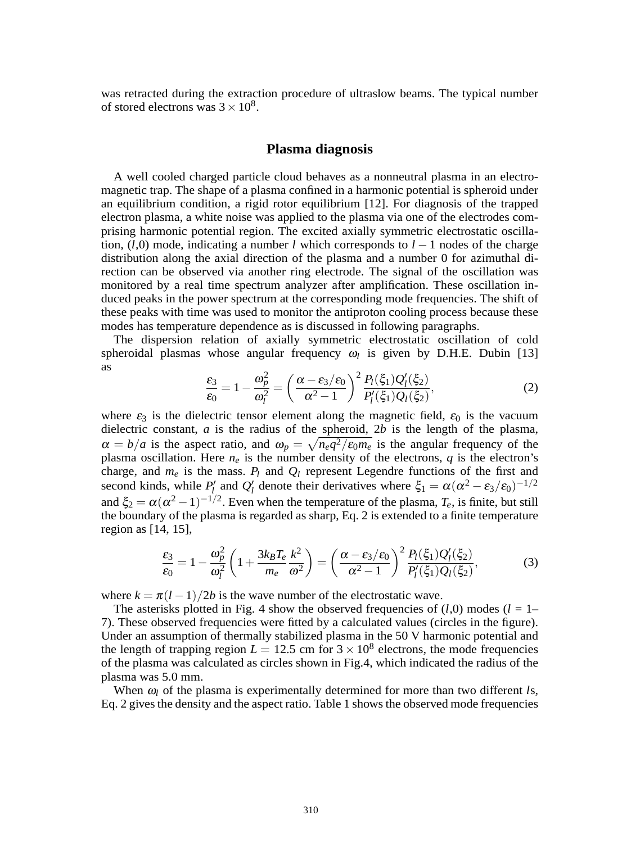was retracted during the extraction procedure of ultraslow beams. The typical number of stored electrons was  $3 \times 10^8$ .

## **Plasma diagnosis**

A well cooled charged particle cloud behaves as a nonneutral plasma in an electromagnetic trap. The shape of a plasma confined in a harmonic potential is spheroid under an equilibrium condition, a rigid rotor equilibrium [12]. For diagnosis of the trapped electron plasma, a white noise was applied to the plasma via one of the electrodes comprising harmonic potential region. The excited axially symmetric electrostatic oscillation,  $(l,0)$  mode, indicating a number *l* which corresponds to  $l-1$  nodes of the charge distribution along the axial direction of the plasma and a number 0 for azimuthal direction can be observed via another ring electrode. The signal of the oscillation was monitored by a real time spectrum analyzer after amplification. These oscillation induced peaks in the power spectrum at the corresponding mode frequencies. The shift of these peaks with time was used to monitor the antiproton cooling process because these modes has temperature dependence as is discussed in following paragraphs.

The dispersion relation of axially symmetric electrostatic oscillation of cold spheroidal plasmas whose angular frequency  $\omega_l$  is given by D.H.E. Dubin [13] as

$$
\frac{\varepsilon_3}{\varepsilon_0} = 1 - \frac{\omega_p^2}{\omega_l^2} = \left(\frac{\alpha - \varepsilon_3/\varepsilon_0}{\alpha^2 - 1}\right)^2 \frac{P_l(\xi_1) Q_l(\xi_2)}{P_l'(\xi_1) Q_l(\xi_2)},\tag{2}
$$

where  $\varepsilon_3$  is the dielectric tensor element along the magnetic field,  $\varepsilon_0$  is the vacuum dielectric constant, *a* is the radius of the spheroid, 2*b* is the length of the plasma,  $\alpha = b/a$  is the aspect ratio, and  $\omega_p = \sqrt{n_e q^2/\epsilon_0 m_e}$  is the angular frequency of the plasma oscillation. Here  $n_e$  is the number density of the electrons,  $q$  is the electron's charge, and  $m_e$  is the mass.  $P_l$  and  $Q_l$  represent Legendre functions of the first and second kinds, while  $P'_l$  and  $Q'_l$  denote their derivatives where  $\xi_1 = \alpha(\alpha^2 - \epsilon_3/\epsilon_0)^{-1/2}$ and  $\xi_2 = \alpha(\alpha^2 - 1)^{-1/2}$ . Even when the temperature of the plasma,  $T_e$ , is finite, but still the boundary of the plasma is regarded as sharp, Eq. 2 is extended to a finite temperature region as [14, 15],

$$
\frac{\varepsilon_3}{\varepsilon_0} = 1 - \frac{\omega_p^2}{\omega_l^2} \left( 1 + \frac{3k_B T_e}{m_e} \frac{k^2}{\omega^2} \right) = \left( \frac{\alpha - \varepsilon_3/\varepsilon_0}{\alpha^2 - 1} \right)^2 \frac{P_l(\xi_1) Q_l'(\xi_2)}{P_l'(\xi_1) Q_l(\xi_2)},
$$
(3)

where  $k = \pi(l-1)/2b$  is the wave number of the electrostatic wave.

The asterisks plotted in Fig. 4 show the observed frequencies of  $(l,0)$  modes  $(l = 1-$ 7). These observed frequencies were fitted by a calculated values (circles in the figure). Under an assumption of thermally stabilized plasma in the 50 V harmonic potential and the length of trapping region  $L = 12.5$  cm for  $3 \times 10^8$  electrons, the mode frequencies of the plasma was calculated as circles shown in Fig.4, which indicated the radius of the plasma was 5.0 mm.

When  $\omega_l$  of the plasma is experimentally determined for more than two different *ls*, Eq. 2 gives the density and the aspect ratio. Table 1 shows the observed mode frequencies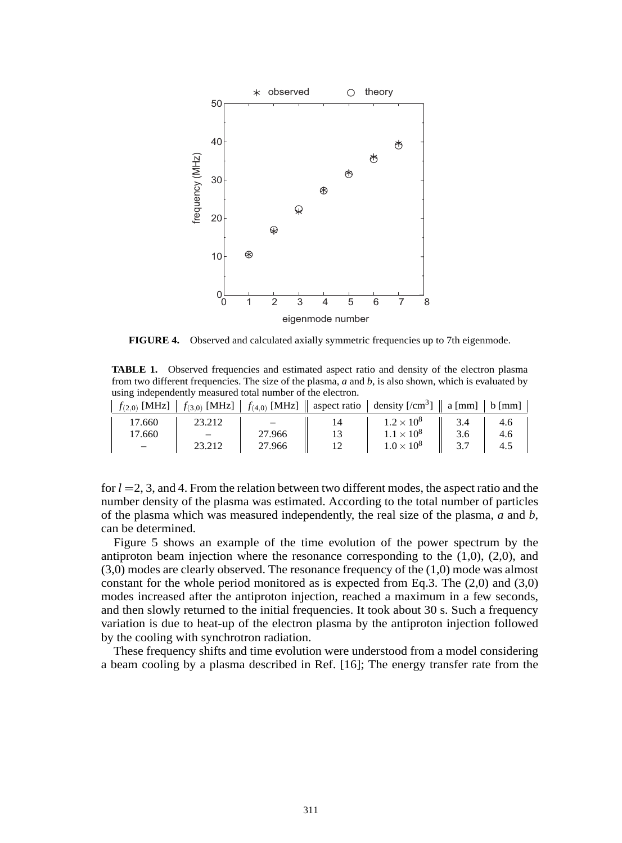

**FIGURE 4.** Observed and calculated axially symmetric frequencies up to 7th eigenmode.

**TABLE 1.** Observed frequencies and estimated aspect ratio and density of the electron plasma from two different frequencies. The size of the plasma, *a* and *b*, is also shown, which is evaluated by using independently measured total number of the electron.

|        |        |        | $f_{(2,0)}$ [MHz] $ f_{(3,0)}$ [MHz] $ f_{(4,0)}$ [MHz] $ $ aspect ratio $ $ density [/cm <sup>3</sup> ] $ $ a [mm] $ $ b [mm] $ $ |     |     |
|--------|--------|--------|------------------------------------------------------------------------------------------------------------------------------------|-----|-----|
| 17.660 | 23.212 |        | $1.2 \times 10^{8}$                                                                                                                |     | 4.6 |
| 17.660 |        | 27.966 | $1.1 \times 10^{8}$                                                                                                                | 3.6 | 4.6 |
|        | 23.212 | 27.966 | $1.0 \times 10^{8}$                                                                                                                |     | 4.5 |

for *l* =2, 3, and 4. From the relation between two different modes, the aspect ratio and the number density of the plasma was estimated. According to the total number of particles of the plasma which was measured independently, the real size of the plasma, *a* and *b*, can be determined.

Figure 5 shows an example of the time evolution of the power spectrum by the antiproton beam injection where the resonance corresponding to the  $(1,0)$ ,  $(2,0)$ , and (3,0) modes are clearly observed. The resonance frequency of the (1,0) mode was almost constant for the whole period monitored as is expected from Eq.3. The  $(2,0)$  and  $(3,0)$ modes increased after the antiproton injection, reached a maximum in a few seconds, and then slowly returned to the initial frequencies. It took about 30 s. Such a frequency variation is due to heat-up of the electron plasma by the antiproton injection followed by the cooling with synchrotron radiation.

These frequency shifts and time evolution were understood from a model considering a beam cooling by a plasma described in Ref. [16]; The energy transfer rate from the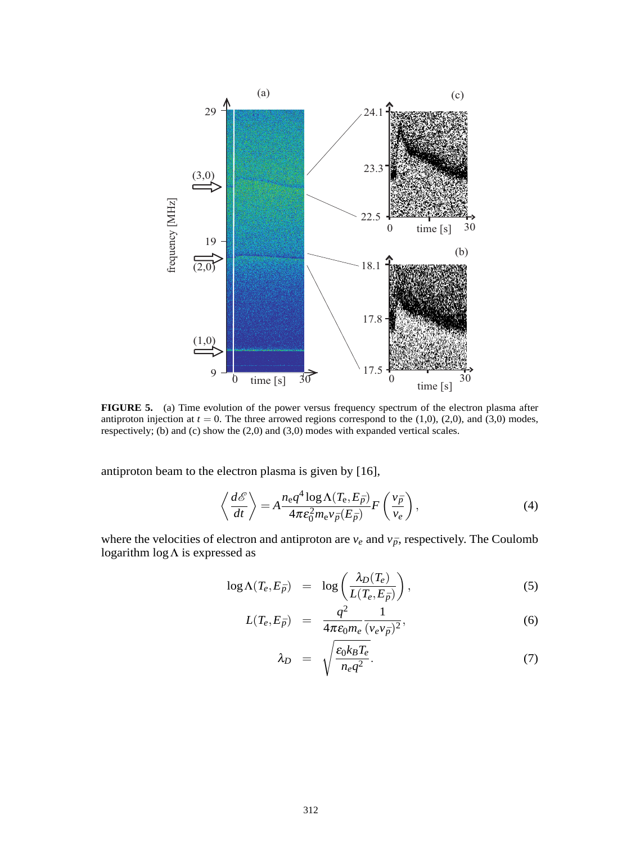

**FIGURE 5.** (a) Time evolution of the power versus frequency spectrum of the electron plasma after antiproton injection at  $t = 0$ . The three arrowed regions correspond to the  $(1,0)$ ,  $(2,0)$ , and  $(3,0)$  modes, respectively; (b) and (c) show the (2,0) and (3,0) modes with expanded vertical scales.

antiproton beam to the electron plasma is given by [16],

$$
\left\langle \frac{d\mathcal{E}}{dt} \right\rangle = A \frac{n_{\rm e} q^4 \log \Lambda(T_{\rm e}, E_{\bar{p}})}{4\pi \varepsilon_0^2 m_{\rm e} v_{\bar{p}}(E_{\bar{p}})} F\left(\frac{v_{\bar{p}}}{v_e}\right),\tag{4}
$$

where the velocities of electron and antiproton are  $v_e$  and  $v_{\bar{p}}$ , respectively. The Coulomb logarithm  $\log \Lambda$  is expressed as

$$
\log \Lambda(T_e, E_{\bar{p}}) = \log \left( \frac{\lambda_D(T_e)}{L(T_e, E_{\bar{p}})} \right), \tag{5}
$$

$$
L(T_e, E_{\bar{p}}) = \frac{q^2}{4\pi\epsilon_0 m_e} \frac{1}{(\nu_e \nu_{\bar{p}})^2},
$$
\n(6)

$$
\lambda_D = \sqrt{\frac{\varepsilon_0 k_B T_e}{n_e q^2}}.
$$
\n(7)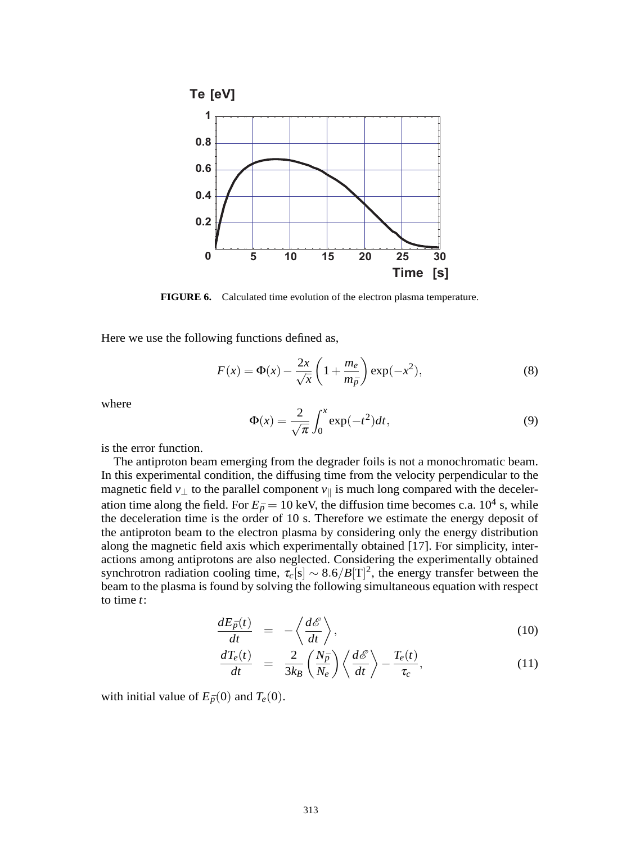

**FIGURE 6.** Calculated time evolution of the electron plasma temperature.

Here we use the following functions defined as,

$$
F(x) = \Phi(x) - \frac{2x}{\sqrt{x}} \left( 1 + \frac{m_e}{m_{\bar{p}}} \right) \exp(-x^2),\tag{8}
$$

where

$$
\Phi(x) = \frac{2}{\sqrt{\pi}} \int_0^x \exp(-t^2) dt,
$$
\n(9)

is the error function.

The antiproton beam emerging from the degrader foils is not a monochromatic beam. In this experimental condition, the diffusing time from the velocity perpendicular to the magnetic field  $v_{\perp}$  to the parallel component  $v_{\parallel}$  is much long compared with the deceleration time along the field. For  $E_{\bar{p}} = 10$  keV, the diffusion time becomes c.a.  $10^4$  s, while the deceleration time is the order of 10 s. Therefore we estimate the energy deposit of the antiproton beam to the electron plasma by considering only the energy distribution along the magnetic field axis which experimentally obtained [17]. For simplicity, interactions among antiprotons are also neglected. Considering the experimentally obtained synchrotron radiation cooling time,  $\tau_c[s] \sim 8.6/B[T]^2$ , the energy transfer between the beam to the plasma is found by solving the following simultaneous equation with respect to time *t*:

$$
\frac{dE_{\bar{p}}(t)}{dt} = -\left\langle \frac{d\mathscr{E}}{dt} \right\rangle, \tag{10}
$$

$$
\frac{dT_e(t)}{dt} = \frac{2}{3k_B} \left(\frac{N_{\bar{p}}}{N_e}\right) \left\langle \frac{d\mathcal{E}}{dt} \right\rangle - \frac{T_e(t)}{\tau_c},\tag{11}
$$

with initial value of  $E_{\bar{p}}(0)$  and  $T_e(0)$ .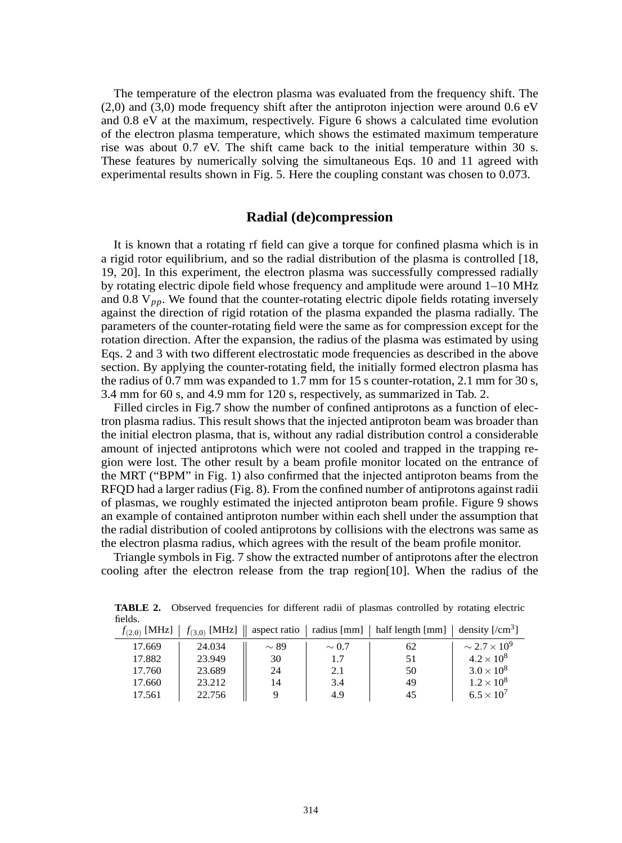The temperature of the electron plasma was evaluated from the frequency shift. The (2,0) and (3,0) mode frequency shift after the antiproton injection were around 0.6 eV and 0.8 eV at the maximum, respectively. Figure 6 shows a calculated time evolution of the electron plasma temperature, which shows the estimated maximum temperature rise was about 0.7 eV. The shift came back to the initial temperature within 30 s. These features by numerically solving the simultaneous Eqs. 10 and 11 agreed with experimental results shown in Fig. 5. Here the coupling constant was chosen to 0.073.

#### **Radial (de)compression**

It is known that a rotating rf field can give a torque for confined plasma which is in a rigid rotor equilibrium, and so the radial distribution of the plasma is controlled [18, 19, 20]. In this experiment, the electron plasma was successfully compressed radially by rotating electric dipole field whose frequency and amplitude were around 1–10 MHz and 0.8 V*pp*. We found that the counter-rotating electric dipole fields rotating inversely against the direction of rigid rotation of the plasma expanded the plasma radially. The parameters of the counter-rotating field were the same as for compression except for the rotation direction. After the expansion, the radius of the plasma was estimated by using Eqs. 2 and 3 with two different electrostatic mode frequencies as described in the above section. By applying the counter-rotating field, the initially formed electron plasma has the radius of 0.7 mm was expanded to 1.7 mm for 15 s counter-rotation, 2.1 mm for 30 s, 3.4 mm for 60 s, and 4.9 mm for 120 s, respectively, as summarized in Tab. 2.

Filled circles in Fig.7 show the number of confined antiprotons as a function of electron plasma radius. This result shows that the injected antiproton beam was broader than the initial electron plasma, that is, without any radial distribution control a considerable amount of injected antiprotons which were not cooled and trapped in the trapping region were lost. The other result by a beam profile monitor located on the entrance of the MRT ("BPM" in Fig. 1) also confirmed that the injected antiproton beams from the RFQD had a larger radius (Fig. 8). From the confined number of antiprotons against radii of plasmas, we roughly estimated the injected antiproton beam profile. Figure 9 shows an example of contained antiproton number within each shell under the assumption that the radial distribution of cooled antiprotons by collisions with the electrons was same as the electron plasma radius, which agrees with the result of the beam profile monitor.

Triangle symbols in Fig. 7 show the extracted number of antiprotons after the electron cooling after the electron release from the trap region[10]. When the radius of the

| $f_{(2,0)}$ [MHz] | $f_{(3,0)}$ [MHz] | aspect ratio |            | radius [mm] half length [mm] | density $\lceil$ /cm <sup>3</sup> $\rceil$ |
|-------------------|-------------------|--------------|------------|------------------------------|--------------------------------------------|
| 17.669            | 24.034            | $\sim$ 89    | $\sim 0.7$ | 62                           | $\sim$ 2.7 $\times$ 10 <sup>9</sup>        |
| 17.882            | 23.949            | 30           | 1.7        | 51                           | $4.2 \times 10^{8}$                        |
| 17.760            | 23.689            | 24           | 2.1        | 50                           | $3.0 \times 10^{8}$                        |
| 17.660            | 23.212            | 14           | 3.4        | 49                           | $1.2 \times 10^{8}$                        |
| 17.561            | 22.756            |              | 4.9        | 45                           | $6.5 \times 10^7$                          |

**TABLE 2.** Observed frequencies for different radii of plasmas controlled by rotating electric fields.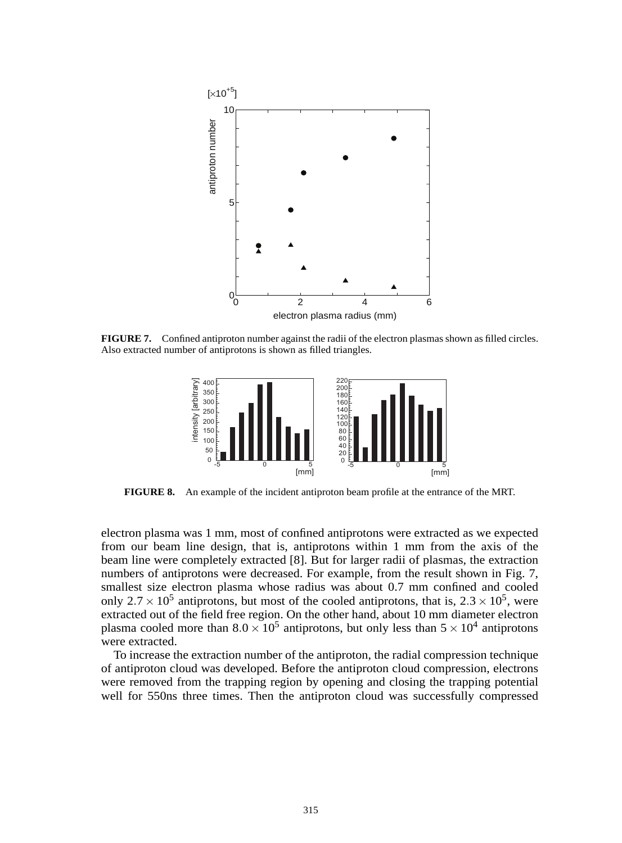

**FIGURE 7.** Confined antiproton number against the radii of the electron plasmas shown as filled circles. Also extracted number of antiprotons is shown as filled triangles.



**FIGURE 8.** An example of the incident antiproton beam profile at the entrance of the MRT.

electron plasma was 1 mm, most of confined antiprotons were extracted as we expected from our beam line design, that is, antiprotons within 1 mm from the axis of the beam line were completely extracted [8]. But for larger radii of plasmas, the extraction numbers of antiprotons were decreased. For example, from the result shown in Fig. 7, smallest size electron plasma whose radius was about 0.7 mm confined and cooled only 2.7  $\times$  10<sup>5</sup> antiprotons, but most of the cooled antiprotons, that is, 2.3  $\times$  10<sup>5</sup>, were extracted out of the field free region. On the other hand, about 10 mm diameter electron plasma cooled more than  $8.0 \times 10^5$  antiprotons, but only less than  $5 \times 10^4$  antiprotons were extracted.

To increase the extraction number of the antiproton, the radial compression technique of antiproton cloud was developed. Before the antiproton cloud compression, electrons were removed from the trapping region by opening and closing the trapping potential well for 550ns three times. Then the antiproton cloud was successfully compressed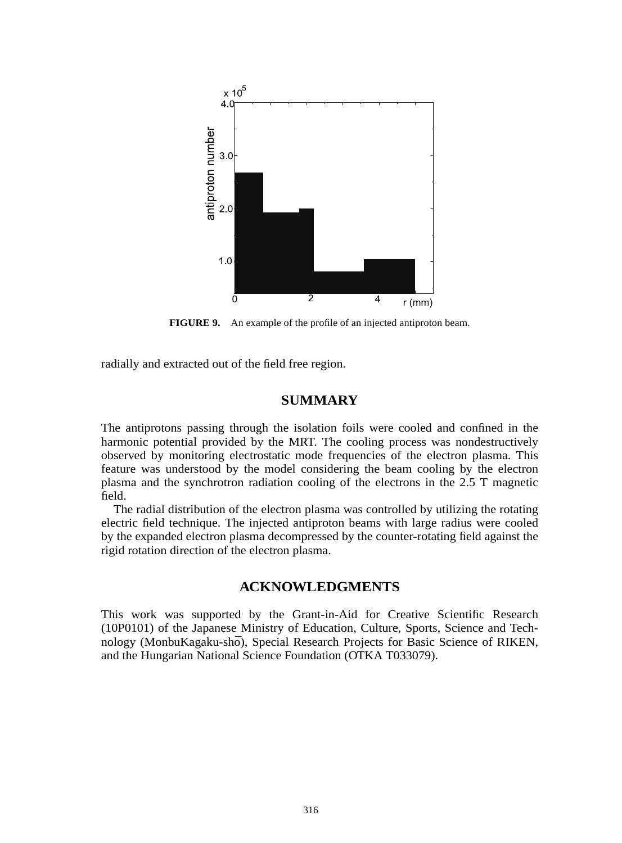

**FIGURE 9.** An example of the profile of an injected antiproton beam.

radially and extracted out of the field free region.

## **SUMMARY**

The antiprotons passing through the isolation foils were cooled and confined in the harmonic potential provided by the MRT. The cooling process was nondestructively observed by monitoring electrostatic mode frequencies of the electron plasma. This feature was understood by the model considering the beam cooling by the electron plasma and the synchrotron radiation cooling of the electrons in the 2.5 T magnetic field.

The radial distribution of the electron plasma was controlled by utilizing the rotating electric field technique. The injected antiproton beams with large radius were cooled by the expanded electron plasma decompressed by the counter-rotating field against the rigid rotation direction of the electron plasma.

#### **ACKNOWLEDGMENTS**

This work was supported by the Grant-in-Aid for Creative Scientific Research (10P0101) of the Japanese Ministry of Education, Culture, Sports, Science and Technology (MonbuKagaku-shō), Special Research Projects for Basic Science of RIKEN, and the Hungarian National Science Foundation (OTKA T033079).